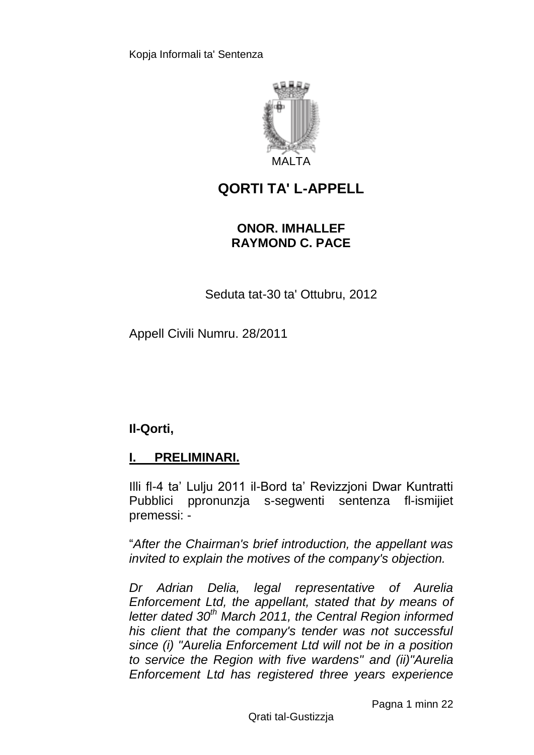

# **QORTI TA' L-APPELL**

## **ONOR. IMHALLEF RAYMOND C. PACE**

Seduta tat-30 ta' Ottubru, 2012

Appell Civili Numru. 28/2011

**Il-Qorti,**

## **I. PRELIMINARI.**

Illi fl-4 ta' Lulju 2011 il-Bord ta' Revizzjoni Dwar Kuntratti Pubblici ppronunzja s-segwenti sentenza fl-ismijiet premessi: -

"*After the Chairman's brief introduction, the appellant was invited to explain the motives of the company's objection.*

*Dr Adrian Delia, legal representative of Aurelia Enforcement Ltd, the appellant, stated that by means of letter dated 30th March 2011, the Central Region informed his client that the company's tender was not successful since (i) "Aurelia Enforcement Ltd will not be in a position to service the Region with five wardens" and (ii)"Aurelia Enforcement Ltd has registered three years experience*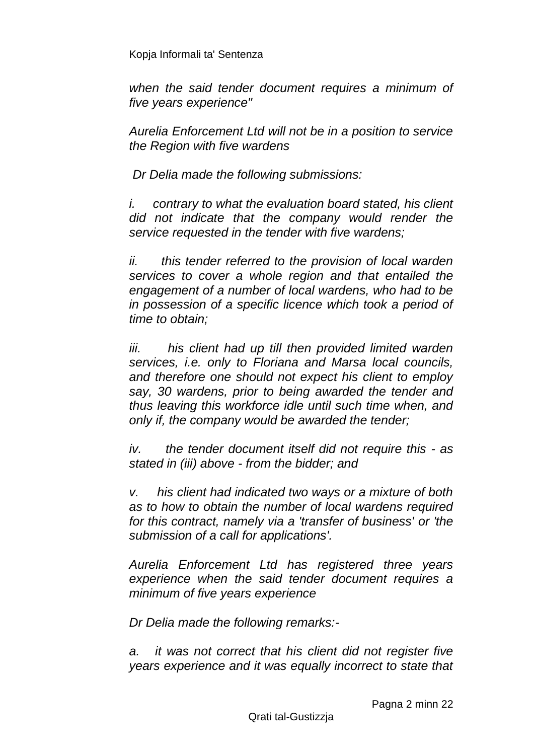*when the said tender document requires a minimum of five years experience"*

*Aurelia Enforcement Ltd will not be in a position to service the Region with five wardens*

*Dr Delia made the following submissions:*

*i. contrary to what the evaluation board stated, his client did not indicate that the company would render the service requested in the tender with five wardens;*

*ii. this tender referred to the provision of local warden services to cover a whole region and that entailed the engagement of a number of local wardens, who had to be in possession of a specific licence which took a period of time to obtain;*

*iii.* his client had up till then provided limited warden *services, i.e. only to Floriana and Marsa local councils, and therefore one should not expect his client to employ say, 30 wardens, prior to being awarded the tender and thus leaving this workforce idle until such time when, and only if, the company would be awarded the tender;*

*iv. the tender document itself did not require this - as stated in (iii) above - from the bidder; and*

*v. his client had indicated two ways or a mixture of both as to how to obtain the number of local wardens required for this contract, namely via a 'transfer of business' or 'the submission of a call for applications'.*

*Aurelia Enforcement Ltd has registered three years experience when the said tender document requires a minimum of five years experience*

*Dr Delia made the following remarks:-*

*a. it was not correct that his client did not register five years experience and it was equally incorrect to state that*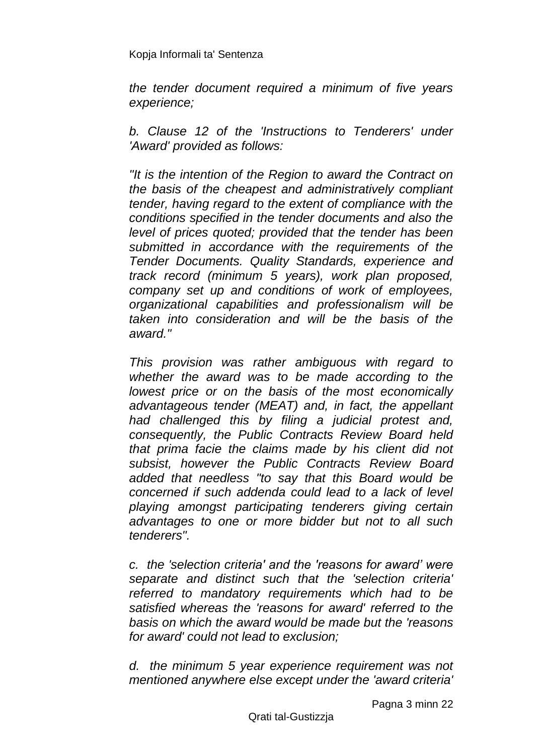*the tender document required a minimum of five years experience;*

*b. Clause 12 of the 'Instructions to Tenderers' under 'Award' provided as follows:*

*"It is the intention of the Region to award the Contract on the basis of the cheapest and administratively compliant tender, having regard to the extent of compliance with the conditions specified in the tender documents and also the level of prices quoted; provided that the tender has been submitted in accordance with the requirements of the Tender Documents. Quality Standards, experience and track record (minimum 5 years), work plan proposed, company set up and conditions of work of employees, organizational capabilities and professionalism will be taken into consideration and will be the basis of the award."*

*This provision was rather ambiguous with regard to whether the award was to be made according to the lowest price or on the basis of the most economically advantageous tender (MEAT) and, in fact, the appellant had challenged this by filing a judicial protest and, consequently, the Public Contracts Review Board held that prima facie the claims made by his client did not subsist, however the Public Contracts Review Board added that needless "to say that this Board would be concerned if such addenda could lead to a lack of level playing amongst participating tenderers giving certain advantages to one or more bidder but not to all such tenderers".*

*c. the 'selection criteria' and the 'reasons for award' were separate and distinct such that the 'selection criteria' referred to mandatory requirements which had to be satisfied whereas the 'reasons for award' referred to the basis on which the award would be made but the 'reasons for award' could not lead to exclusion;*

*d. the minimum 5 year experience requirement was not mentioned anywhere else except under the 'award criteria'*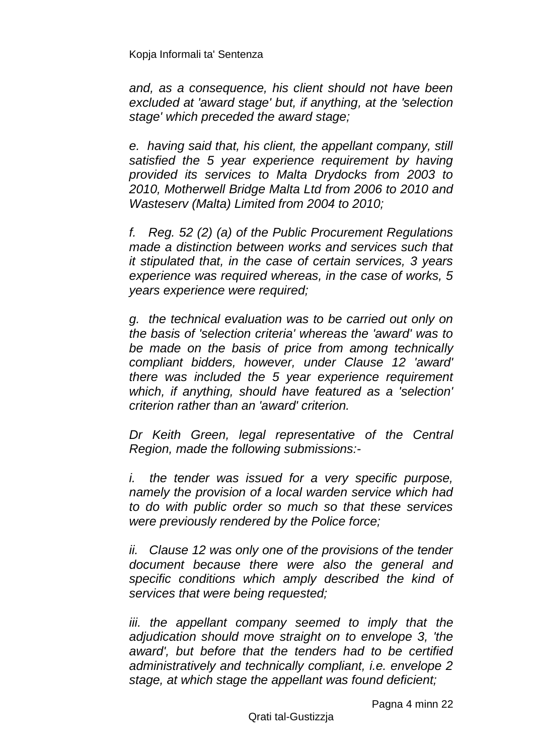*and, as a consequence, his client should not have been excluded at 'award stage' but, if anything, at the 'selection stage' which preceded the award stage;*

*e. having said that, his client, the appellant company, still satisfied the 5 year experience requirement by having provided its services to Malta Drydocks from 2003 to 2010, Motherwell Bridge Malta Ltd from 2006 to 2010 and Wasteserv (Malta) Limited from 2004 to 2010;*

*f. Reg. 52 (2) (a) of the Public Procurement Regulations made a distinction between works and services such that it stipulated that, in the case of certain services, 3 years experience was required whereas, in the case of works, 5 years experience were required;*

*g. the technical evaluation was to be carried out only on the basis of 'selection criteria' whereas the 'award' was to be made on the basis of price from among technically compliant bidders, however, under Clause 12 'award' there was included the 5 year experience requirement which, if anything, should have featured as a 'selection' criterion rather than an 'award' criterion.*

*Dr Keith Green, legal representative of the Central Region, made the following submissions:-*

*i. the tender was issued for a very specific purpose, namely the provision of a local warden service which had to do with public order so much so that these services were previously rendered by the Police force;*

*ii. Clause 12 was only one of the provisions of the tender document because there were also the general and specific conditions which amply described the kind of services that were being requested;*

*iii. the appellant company seemed to imply that the adjudication should move straight on to envelope 3, 'the award', but before that the tenders had to be certified administratively and technically compliant, i.e. envelope 2 stage, at which stage the appellant was found deficient;*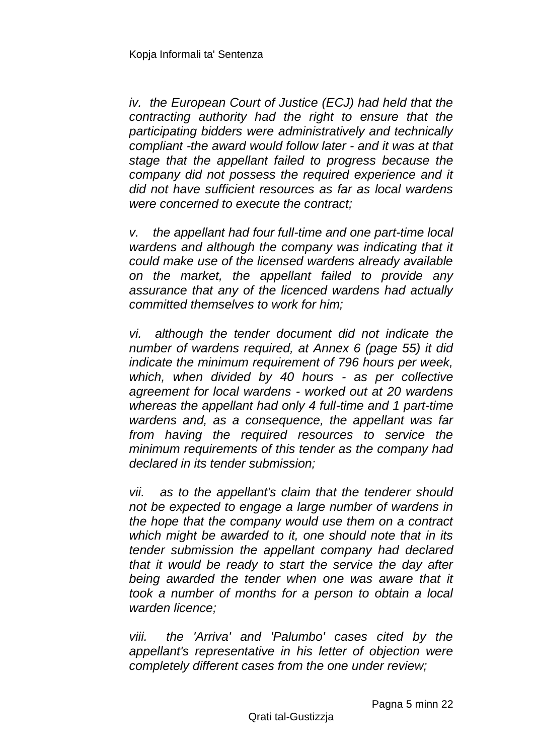*iv. the European Court of Justice (ECJ) had held that the contracting authority had the right to ensure that the participating bidders were administratively and technically compliant -the award would follow later - and it was at that stage that the appellant failed to progress because the company did not possess the required experience and it did not have sufficient resources as far as local wardens were concerned to execute the contract;*

*v. the appellant had four full-time and one part-time local wardens and although the company was indicating that it could make use of the licensed wardens already available on the market, the appellant failed to provide any assurance that any of the licenced wardens had actually committed themselves to work for him;*

*vi. although the tender document did not indicate the number of wardens required, at Annex 6 (page 55) it did indicate the minimum requirement of 796 hours per week, which, when divided by 40 hours - as per collective agreement for local wardens - worked out at 20 wardens whereas the appellant had only 4 full-time and 1 part-time wardens and, as a consequence, the appellant was far from having the required resources to service the minimum requirements of this tender as the company had declared in its tender submission;*

*vii. as to the appellant's claim that the tenderer should not be expected to engage a large number of wardens in the hope that the company would use them on a contract which might be awarded to it, one should note that in its tender submission the appellant company had declared that it would be ready to start the service the day after being awarded the tender when one was aware that it took a number of months for a person to obtain a local warden licence;*

*viii. the 'Arriva' and 'Palumbo' cases cited by the appellant's representative in his letter of objection were completely different cases from the one under review;*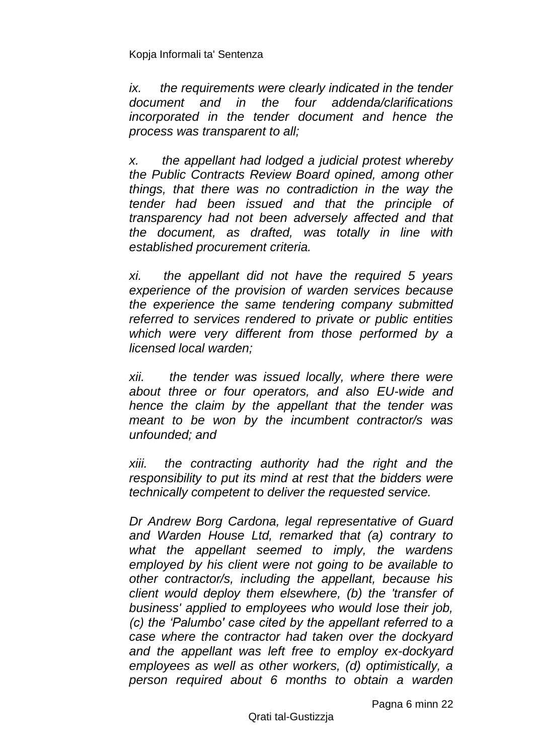*ix. the requirements were clearly indicated in the tender document and in the four addenda/clarifications incorporated in the tender document and hence the process was transparent to all;*

*x. the appellant had lodged a judicial protest whereby the Public Contracts Review Board opined, among other things, that there was no contradiction in the way the tender had been issued and that the principle of transparency had not been adversely affected and that the document, as drafted, was totally in line with established procurement criteria.*

*xi. the appellant did not have the required 5 years experience of the provision of warden services because the experience the same tendering company submitted referred to services rendered to private or public entities which were very different from those performed by a licensed local warden;*

*xii. the tender was issued locally, where there were about three or four operators, and also EU-wide and hence the claim by the appellant that the tender was meant to be won by the incumbent contractor/s was unfounded; and*

*xiii. the contracting authority had the right and the responsibility to put its mind at rest that the bidders were technically competent to deliver the requested service.*

*Dr Andrew Borg Cardona, legal representative of Guard and Warden House Ltd, remarked that (a) contrary to what the appellant seemed to imply, the wardens employed by his client were not going to be available to other contractor/s, including the appellant, because his client would deploy them elsewhere, (b) the 'transfer of business' applied to employees who would lose their job, (c) the 'Palumbo' case cited by the appellant referred to a case where the contractor had taken over the dockyard and the appellant was left free to employ ex-dockyard employees as well as other workers, (d) optimistically, a person required about 6 months to obtain a warden* 

Pagna 6 minn 22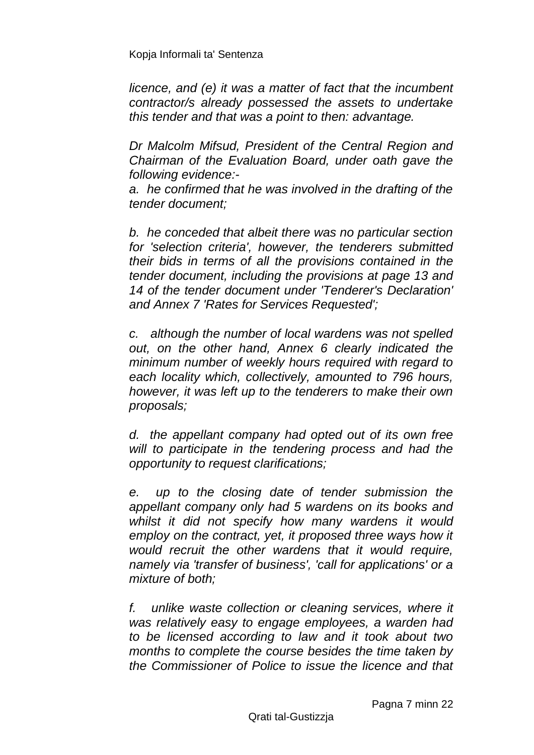*licence, and (e) it was a matter of fact that the incumbent contractor/s already possessed the assets to undertake this tender and that was a point to then: advantage.*

*Dr Malcolm Mifsud, President of the Central Region and Chairman of the Evaluation Board, under oath gave the following evidence:-*

*a. he confirmed that he was involved in the drafting of the tender document;*

*b. he conceded that albeit there was no particular section for 'selection criteria', however, the tenderers submitted their bids in terms of all the provisions contained in the tender document, including the provisions at page 13 and 14 of the tender document under 'Tenderer's Declaration' and Annex 7 'Rates for Services Requested';*

*c. although the number of local wardens was not spelled out, on the other hand, Annex 6 clearly indicated the minimum number of weekly hours required with regard to each locality which, collectively, amounted to 796 hours, however, it was left up to the tenderers to make their own proposals;*

*d. the appellant company had opted out of its own free will to participate in the tendering process and had the opportunity to request clarifications;*

*e. up to the closing date of tender submission the appellant company only had 5 wardens on its books and whilst it did not specify how many wardens it would employ on the contract, yet, it proposed three ways how it would recruit the other wardens that it would require, namely via 'transfer of business', 'call for applications' or a mixture of both;*

*f. unlike waste collection or cleaning services, where it was relatively easy to engage employees, a warden had to be licensed according to law and it took about two months to complete the course besides the time taken by the Commissioner of Police to issue the licence and that*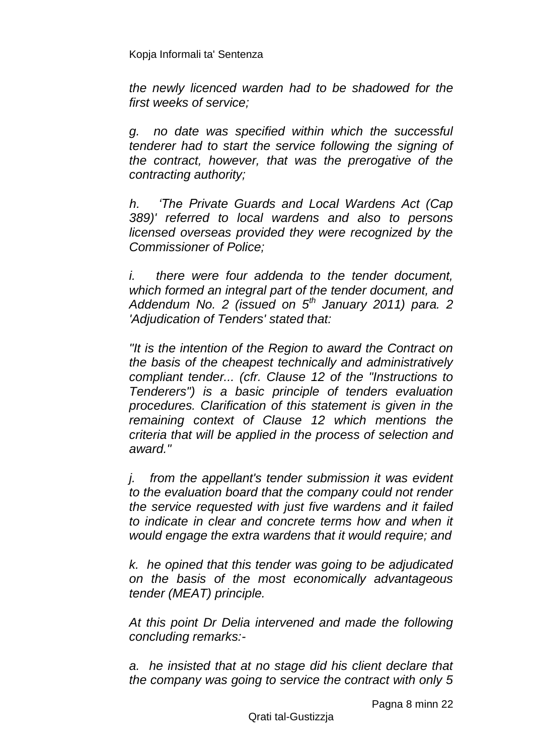*the newly licenced warden had to be shadowed for the first weeks of service;*

*g. no date was specified within which the successful tenderer had to start the service following the signing of the contract, however, that was the prerogative of the contracting authority;*

*h. 'The Private Guards and Local Wardens Act (Cap 389)' referred to local wardens and also to persons licensed overseas provided they were recognized by the Commissioner of Police;*

*i. there were four addenda to the tender document, which formed an integral part of the tender document, and Addendum No. 2 (issued on 5th January 2011) para. 2 'Adjudication of Tenders' stated that:*

*"It is the intention of the Region to award the Contract on the basis of the cheapest technically and administratively compliant tender... (cfr. Clause 12 of the "Instructions to Tenderers") is a basic principle of tenders evaluation procedures. Clarification of this statement is given in the remaining context of Clause 12 which mentions the criteria that will be applied in the process of selection and award."*

*j. from the appellant's tender submission it was evident to the evaluation board that the company could not render the service requested with just five wardens and it failed to indicate in clear and concrete terms how and when it would engage the extra wardens that it would require; and*

*k. he opined that this tender was going to be adjudicated on the basis of the most economically advantageous tender (MEAT) principle.*

*At this point Dr Delia intervened and made the following concluding remarks:-*

*a. he insisted that at no stage did his client declare that the company was going to service the contract with only 5*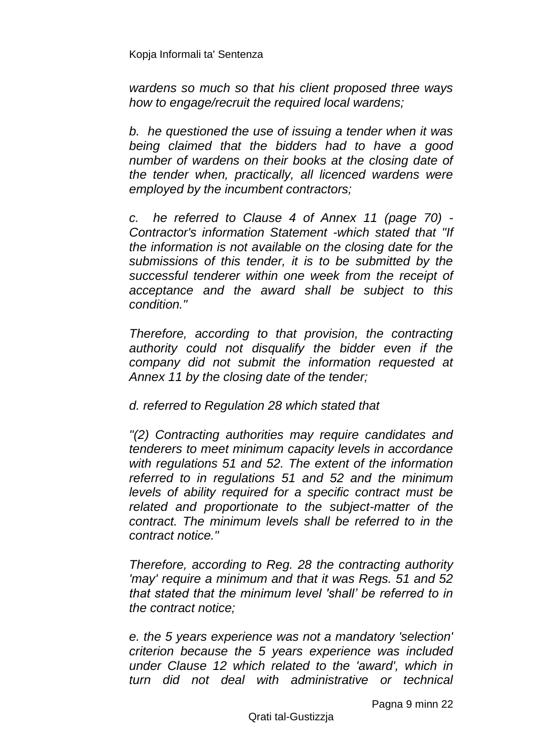*wardens so much so that his client proposed three ways how to engage/recruit the required local wardens;*

*b. he questioned the use of issuing a tender when it was being claimed that the bidders had to have a good number of wardens on their books at the closing date of the tender when, practically, all licenced wardens were employed by the incumbent contractors;*

*c. he referred to Clause 4 of Annex 11 (page 70) - Contractor's information Statement -which stated that "If the information is not available on the closing date for the submissions of this tender, it is to be submitted by the successful tenderer within one week from the receipt of acceptance and the award shall be subject to this condition."* 

*Therefore, according to that provision, the contracting authority could not disqualify the bidder even if the company did not submit the information requested at Annex 11 by the closing date of the tender;*

*d. referred to Regulation 28 which stated that*

*"(2) Contracting authorities may require candidates and tenderers to meet minimum capacity levels in accordance with regulations 51 and 52. The extent of the information referred to in regulations 51 and 52 and the minimum levels of ability required for a specific contract must be related and proportionate to the subject-matter of the contract. The minimum levels shall be referred to in the contract notice."*

*Therefore, according to Reg. 28 the contracting authority 'may' require a minimum and that it was Regs. 51 and 52 that stated that the minimum level 'shall' be referred to in the contract notice;*

*e. the 5 years experience was not a mandatory 'selection' criterion because the 5 years experience was included under Clause 12 which related to the 'award', which in turn did not deal with administrative or technical* 

Pagna 9 minn 22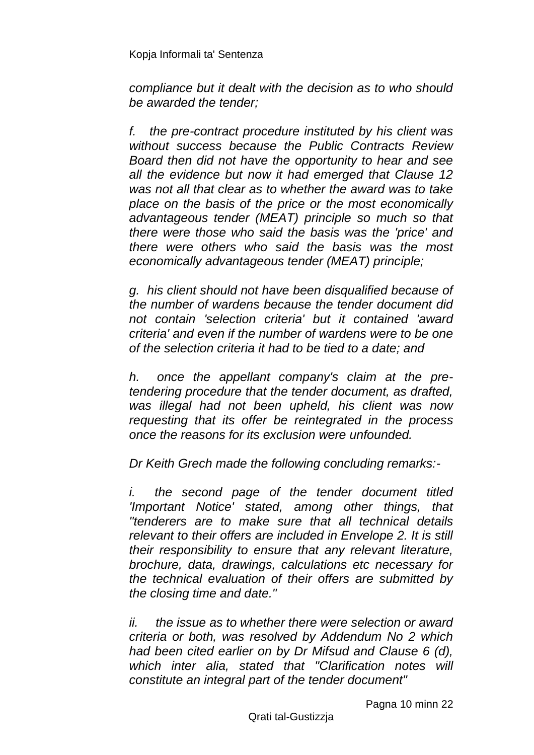*compliance but it dealt with the decision as to who should be awarded the tender;*

*f. the pre-contract procedure instituted by his client was without success because the Public Contracts Review Board then did not have the opportunity to hear and see all the evidence but now it had emerged that Clause 12 was not all that clear as to whether the award was to take place on the basis of the price or the most economically advantageous tender (MEAT) principle so much so that there were those who said the basis was the 'price' and there were others who said the basis was the most economically advantageous tender (MEAT) principle;*

*g. his client should not have been disqualified because of the number of wardens because the tender document did not contain 'selection criteria' but it contained 'award criteria' and even if the number of wardens were to be one of the selection criteria it had to be tied to a date; and*

*h. once the appellant company's claim at the pretendering procedure that the tender document, as drafted, was illegal had not been upheld, his client was now requesting that its offer be reintegrated in the process once the reasons for its exclusion were unfounded.* 

*Dr Keith Grech made the following concluding remarks:-*

*i. the second page of the tender document titled 'Important Notice' stated, among other things, that "tenderers are to make sure that all technical details relevant to their offers are included in Envelope 2. It is still their responsibility to ensure that any relevant literature, brochure, data, drawings, calculations etc necessary for the technical evaluation of their offers are submitted by the closing time and date."*

*ii. the issue as to whether there were selection or award criteria or both, was resolved by Addendum No 2 which had been cited earlier on by Dr Mifsud and Clause 6 (d), which inter alia, stated that "Clarification notes will constitute an integral part of the tender document"*

Pagna 10 minn 22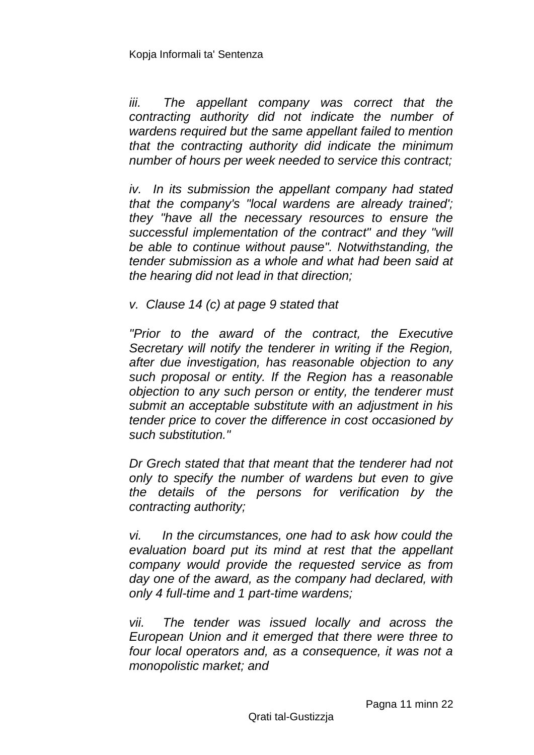*iii. The appellant company was correct that the contracting authority did not indicate the number of wardens required but the same appellant failed to mention that the contracting authority did indicate the minimum number of hours per week needed to service this contract;*

*iv. In its submission the appellant company had stated that the company's "local wardens are already trained'; they "have all the necessary resources to ensure the successful implementation of the contract" and they "will be able to continue without pause". Notwithstanding, the tender submission as a whole and what had been said at the hearing did not lead in that direction;*

*v. Clause 14 (c) at page 9 stated that*

*"Prior to the award of the contract, the Executive Secretary will notify the tenderer in writing if the Region, after due investigation, has reasonable objection to any such proposal or entity. If the Region has a reasonable objection to any such person or entity, the tenderer must submit an acceptable substitute with an adjustment in his tender price to cover the difference in cost occasioned by such substitution."*

*Dr Grech stated that that meant that the tenderer had not only to specify the number of wardens but even to give the details of the persons for verification by the contracting authority;*

*vi. In the circumstances, one had to ask how could the evaluation board put its mind at rest that the appellant company would provide the requested service as from day one of the award, as the company had declared, with only 4 full-time and 1 part-time wardens;*

*vii. The tender was issued locally and across the European Union and it emerged that there were three to*  four local operators and, as a consequence, it was not a *monopolistic market; and*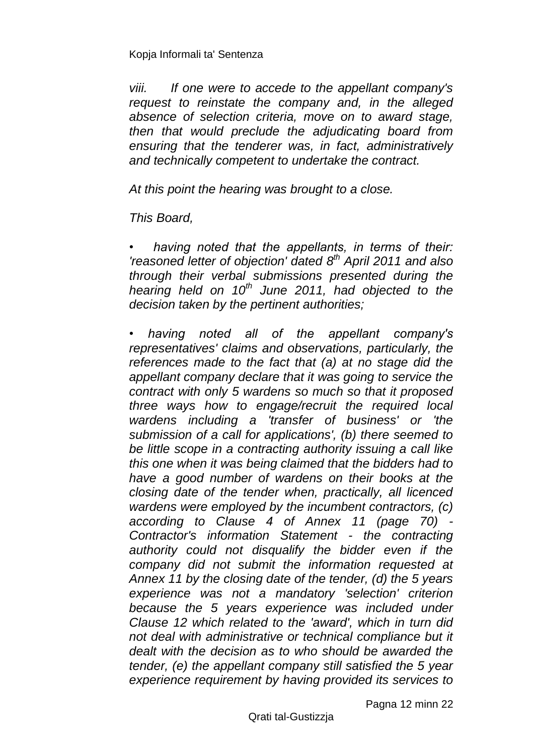*viii. If one were to accede to the appellant company's request to reinstate the company and, in the alleged absence of selection criteria, move on to award stage, then that would preclude the adjudicating board from ensuring that the tenderer was, in fact, administratively and technically competent to undertake the contract.*

*At this point the hearing was brought to a close.* 

*This Board,*

*• having noted that the appellants, in terms of their: 'reasoned letter of objection' dated 8 th April 2011 and also through their verbal submissions presented during the hearing held on 10th June 2011, had objected to the decision taken by the pertinent authorities;*

*• having noted all of the appellant company's representatives' claims and observations, particularly, the references made to the fact that (a) at no stage did the appellant company declare that it was going to service the contract with only 5 wardens so much so that it proposed three ways how to engage/recruit the required local wardens including a 'transfer of business' or 'the submission of a call for applications', (b) there seemed to be little scope in a contracting authority issuing a call like this one when it was being claimed that the bidders had to have a good number of wardens on their books at the closing date of the tender when, practically, all licenced wardens were employed by the incumbent contractors, (c) according to Clause 4 of Annex 11 (page 70) - Contractor's information Statement - the contracting authority could not disqualify the bidder even if the company did not submit the information requested at Annex 11 by the closing date of the tender, (d) the 5 years experience was not a mandatory 'selection' criterion because the 5 years experience was included under Clause 12 which related to the 'award', which in turn did not deal with administrative or technical compliance but it dealt with the decision as to who should be awarded the tender, (e) the appellant company still satisfied the 5 year experience requirement by having provided its services to* 

Pagna 12 minn 22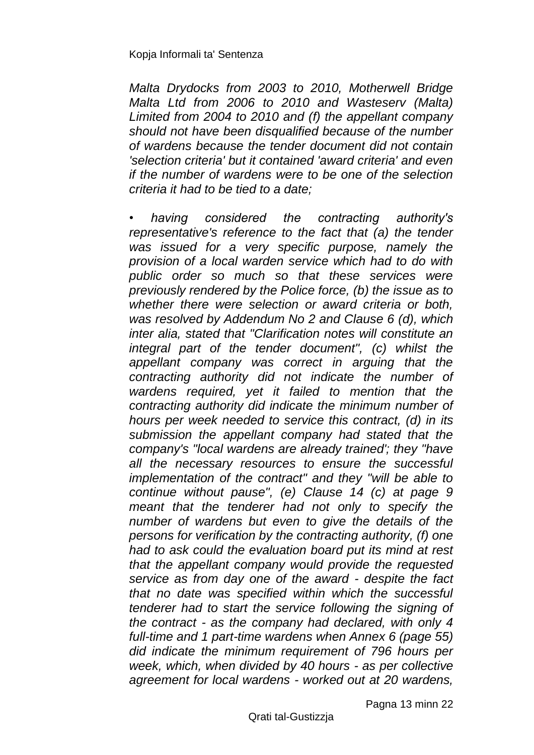*Malta Drydocks from 2003 to 2010, Motherwell Bridge Malta Ltd from 2006 to 2010 and Wasteserv (Malta) Limited from 2004 to 2010 and (f) the appellant company should not have been disqualified because of the number of wardens because the tender document did not contain 'selection criteria' but it contained 'award criteria' and even if the number of wardens were to be one of the selection criteria it had to be tied to a date;*

*• having considered the contracting authority's representative's reference to the fact that (a) the tender was issued for a very specific purpose, namely the provision of a local warden service which had to do with public order so much so that these services were previously rendered by the Police force, (b) the issue as to whether there were selection or award criteria or both, was resolved by Addendum No 2 and Clause 6 (d), which inter alia, stated that "Clarification notes will constitute an*  integral part of the tender document", (c) whilst the *appellant company was correct in arguing that the contracting authority did not indicate the number of wardens required, yet it failed to mention that the contracting authority did indicate the minimum number of hours per week needed to service this contract, (d) in its submission the appellant company had stated that the company's "local wardens are already trained'; they "have all the necessary resources to ensure the successful implementation of the contract" and they "will be able to continue without pause", (e) Clause 14 (c) at page 9 meant that the tenderer had not only to specify the number of wardens but even to give the details of the persons for verification by the contracting authority, (f) one had to ask could the evaluation board put its mind at rest that the appellant company would provide the requested service as from day one of the award - despite the fact that no date was specified within which the successful tenderer had to start the service following the signing of the contract - as the company had declared, with only 4 full-time and 1 part-time wardens when Annex 6 (page 55) did indicate the minimum requirement of 796 hours per week, which, when divided by 40 hours - as per collective agreement for local wardens - worked out at 20 wardens,* 

Qrati tal-Gustizzja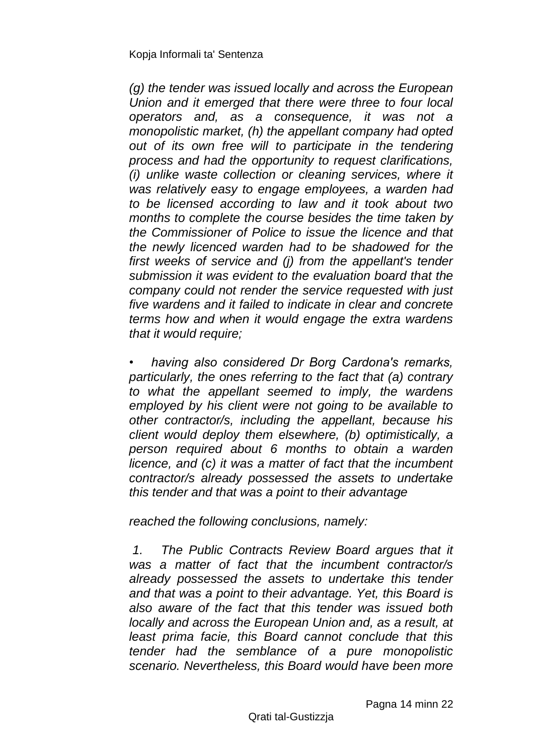*(g) the tender was issued locally and across the European Union and it emerged that there were three to four local operators and, as a consequence, it was not a monopolistic market, (h) the appellant company had opted out of its own free will to participate in the tendering process and had the opportunity to request clarifications, (i) unlike waste collection or cleaning services, where it was relatively easy to engage employees, a warden had to be licensed according to law and it took about two months to complete the course besides the time taken by the Commissioner of Police to issue the licence and that the newly licenced warden had to be shadowed for the first weeks of service and (j) from the appellant's tender submission it was evident to the evaluation board that the company could not render the service requested with just five wardens and it failed to indicate in clear and concrete terms how and when it would engage the extra wardens that it would require;*

*• having also considered Dr Borg Cardona's remarks, particularly, the ones referring to the fact that (a) contrary to what the appellant seemed to imply, the wardens employed by his client were not going to be available to other contractor/s, including the appellant, because his client would deploy them elsewhere, (b) optimistically, a person required about 6 months to obtain a warden licence, and (c) it was a matter of fact that the incumbent contractor/s already possessed the assets to undertake this tender and that was a point to their advantage*

*reached the following conclusions, namely:*

*1. The Public Contracts Review Board argues that it was a matter of fact that the incumbent contractor/s already possessed the assets to undertake this tender and that was a point to their advantage. Yet, this Board is also aware of the fact that this tender was issued both locally and across the European Union and, as a result, at least prima facie, this Board cannot conclude that this tender had the semblance of a pure monopolistic scenario. Nevertheless, this Board would have been more*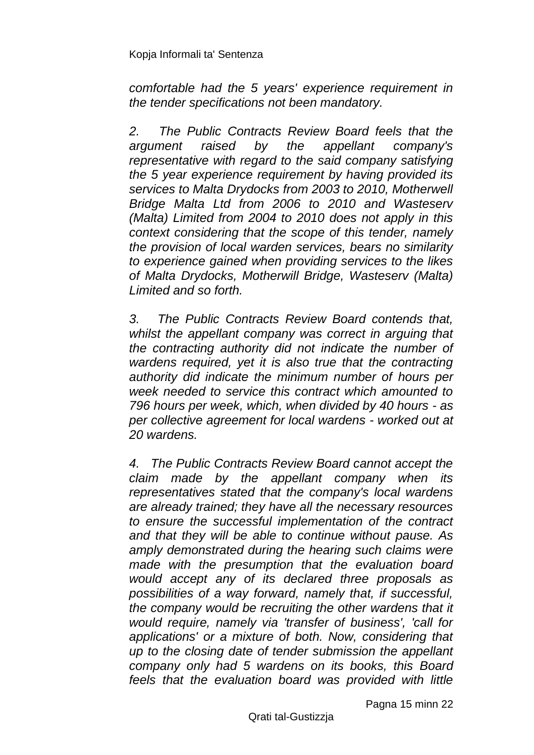*comfortable had the 5 years' experience requirement in the tender specifications not been mandatory.*

*2. The Public Contracts Review Board feels that the argument raised by the appellant company's representative with regard to the said company satisfying the 5 year experience requirement by having provided its services to Malta Drydocks from 2003 to 2010, Motherwell Bridge Malta Ltd from 2006 to 2010 and Wasteserv (Malta) Limited from 2004 to 2010 does not apply in this context considering that the scope of this tender, namely the provision of local warden services, bears no similarity to experience gained when providing services to the likes of Malta Drydocks, Motherwill Bridge, Wasteserv (Malta) Limited and so forth.*

*3. The Public Contracts Review Board contends that, whilst the appellant company was correct in arguing that the contracting authority did not indicate the number of wardens required, yet it is also true that the contracting authority did indicate the minimum number of hours per week needed to service this contract which amounted to 796 hours per week, which, when divided by 40 hours - as per collective agreement for local wardens - worked out at 20 wardens.*

*4. The Public Contracts Review Board cannot accept the claim made by the appellant company when its representatives stated that the company's local wardens are already trained; they have all the necessary resources to ensure the successful implementation of the contract and that they will be able to continue without pause. As amply demonstrated during the hearing such claims were made with the presumption that the evaluation board would accept any of its declared three proposals as possibilities of a way forward, namely that, if successful, the company would be recruiting the other wardens that it would require, namely via 'transfer of business', 'call for applications' or a mixture of both. Now, considering that up to the closing date of tender submission the appellant company only had 5 wardens on its books, this Board feels that the evaluation board was provided with little*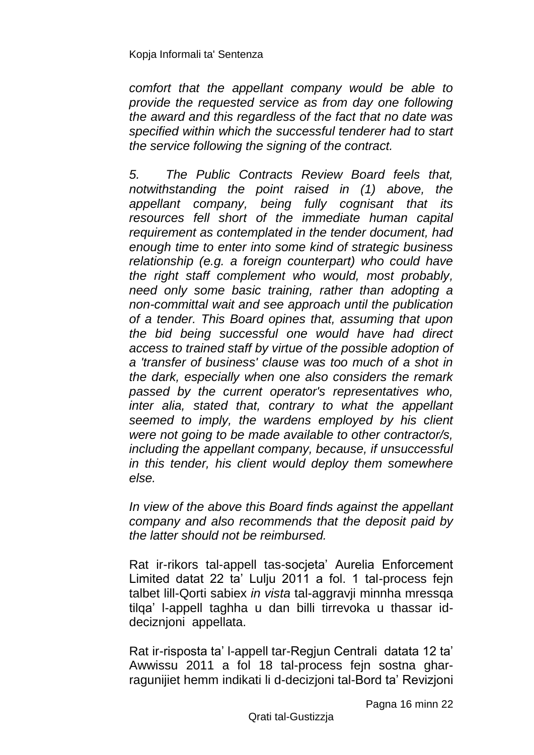*comfort that the appellant company would be able to provide the requested service as from day one following the award and this regardless of the fact that no date was specified within which the successful tenderer had to start the service following the signing of the contract.*

*5. The Public Contracts Review Board feels that, notwithstanding the point raised in (1) above, the appellant company, being fully cognisant that its resources fell short of the immediate human capital requirement as contemplated in the tender document, had enough time to enter into some kind of strategic business relationship (e.g. a foreign counterpart) who could have the right staff complement who would, most probably, need only some basic training, rather than adopting a non-committal wait and see approach until the publication of a tender. This Board opines that, assuming that upon the bid being successful one would have had direct access to trained staff by virtue of the possible adoption of a 'transfer of business' clause was too much of a shot in the dark, especially when one also considers the remark passed by the current operator's representatives who, inter alia, stated that, contrary to what the appellant seemed to imply, the wardens employed by his client were not going to be made available to other contractor/s, including the appellant company, because, if unsuccessful in this tender, his client would deploy them somewhere else.*

*In view of the above this Board finds against the appellant company and also recommends that the deposit paid by the latter should not be reimbursed.*

Rat ir-rikors tal-appell tas-socjeta' Aurelia Enforcement Limited datat 22 ta' Lulju 2011 a fol. 1 tal-process fejn talbet lill-Qorti sabiex *in vista* tal-aggravji minnha mressqa tilqa' l-appell taghha u dan billi tirrevoka u thassar iddeciznjoni appellata.

Rat ir-risposta ta' l-appell tar-Regjun Centrali datata 12 ta' Awwissu 2011 a fol 18 tal-process fejn sostna gharragunijiet hemm indikati li d-decizjoni tal-Bord ta' Revizjoni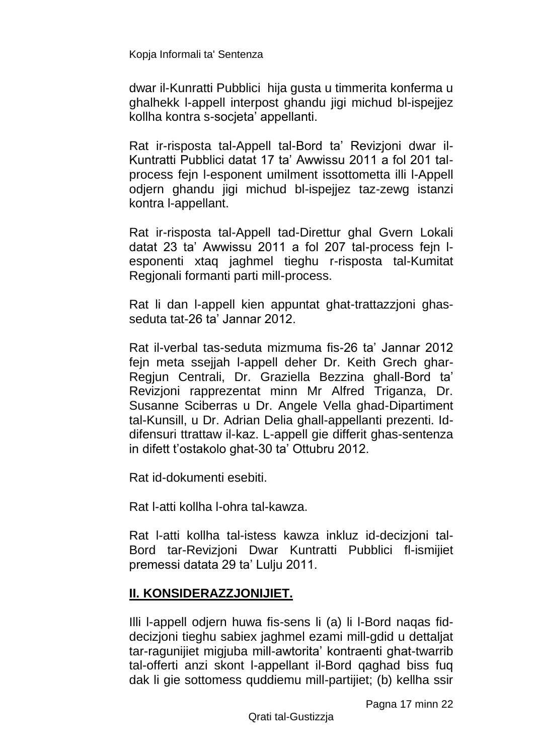dwar il-Kunratti Pubblici hija gusta u timmerita konferma u ghalhekk l-appell interpost ghandu jigi michud bl-ispejjez kollha kontra s-socjeta' appellanti.

Rat ir-risposta tal-Appell tal-Bord ta' Revizjoni dwar il-Kuntratti Pubblici datat 17 ta' Awwissu 2011 a fol 201 talprocess fejn l-esponent umilment issottometta illi l-Appell odjern ghandu jigi michud bl-ispejjez taz-zewg istanzi kontra l-appellant.

Rat ir-risposta tal-Appell tad-Direttur ghal Gvern Lokali datat 23 ta' Awwissu 2011 a fol 207 tal-process fejn lesponenti xtaq jaghmel tieghu r-risposta tal-Kumitat Regjonali formanti parti mill-process.

Rat li dan l-appell kien appuntat ghat-trattazzjoni ghasseduta tat-26 ta' Jannar 2012.

Rat il-verbal tas-seduta mizmuma fis-26 ta' Jannar 2012 fejn meta ssejjah l-appell deher Dr. Keith Grech ghar-Regjun Centrali, Dr. Graziella Bezzina ghall-Bord ta' Revizjoni rapprezentat minn Mr Alfred Triganza, Dr. Susanne Sciberras u Dr. Angele Vella ghad-Dipartiment tal-Kunsill, u Dr. Adrian Delia ghall-appellanti prezenti. Iddifensuri ttrattaw il-kaz. L-appell gie differit ghas-sentenza in difett t'ostakolo ghat-30 ta' Ottubru 2012.

Rat id-dokumenti esebiti.

Rat l-atti kollha l-ohra tal-kawza.

Rat l-atti kollha tal-istess kawza inkluz id-decizjoni tal-Bord tar-Revizjoni Dwar Kuntratti Pubblici fl-ismijiet premessi datata 29 ta' Lulju 2011.

## **II. KONSIDERAZZJONIJIET.**

Illi l-appell odjern huwa fis-sens li (a) li l-Bord naqas fiddecizjoni tieghu sabiex jaghmel ezami mill-gdid u dettaljat tar-ragunijiet migjuba mill-awtorita' kontraenti ghat-twarrib tal-offerti anzi skont l-appellant il-Bord qaghad biss fuq dak li gie sottomess quddiemu mill-partijiet; (b) kellha ssir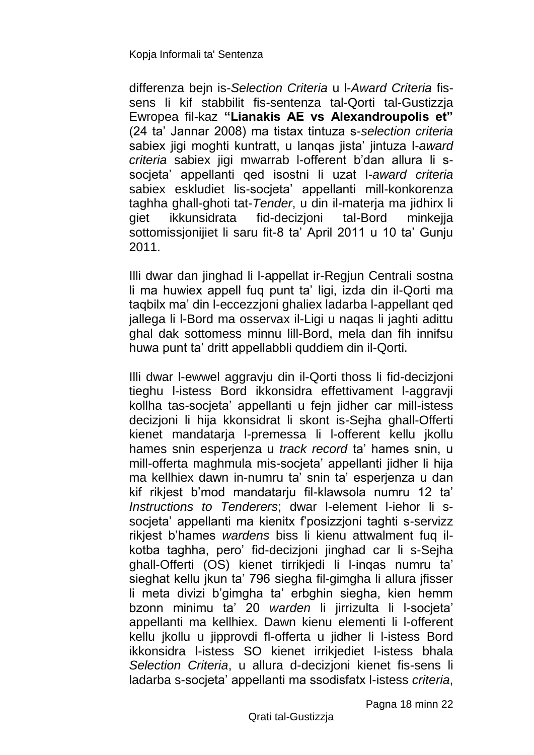differenza bejn is-*Selection Criteria* u l-*Award Criteria* fissens li kif stabbilit fis-sentenza tal-Qorti tal-Gustizzja Ewropea fil-kaz **"Lianakis AE vs Alexandroupolis et"**  (24 ta' Jannar 2008) ma tistax tintuza s-*selection criteria* sabiex jigi moghti kuntratt, u lanqas jista' jintuza l-*award criteria* sabiex jigi mwarrab l-offerent b'dan allura li ssocjeta' appellanti qed isostni li uzat l-*award criteria* sabiex eskludiet lis-socjeta' appellanti mill-konkorenza taghha ghall-ghoti tat-*Tender*, u din il-materja ma jidhirx li giet ikkunsidrata fid-decizjoni tal-Bord minkejja sottomissionijiet li saru fit-8 ta' April 2011 u 10 ta' Gunju 2011.

Illi dwar dan jinghad li l-appellat ir-Regjun Centrali sostna li ma huwiex appell fuq punt ta' ligi, izda din il-Qorti ma taqbilx ma' din l-eccezzjoni ghaliex ladarba l-appellant qed jallega li l-Bord ma osservax il-Ligi u naqas li jaghti adittu ghal dak sottomess minnu lill-Bord, mela dan fih innifsu huwa punt ta' dritt appellabbli quddiem din il-Qorti.

Illi dwar l-ewwel aggravju din il-Qorti thoss li fid-decizjoni tieghu l-istess Bord ikkonsidra effettivament l-aggravji kollha tas-socjeta' appellanti u fejn jidher car mill-istess decizjoni li hija kkonsidrat li skont is-Sejha ghall-Offerti kienet mandatarja l-premessa li l-offerent kellu jkollu hames snin esperjenza u *track record* ta' hames snin, u mill-offerta maghmula mis-socjeta' appellanti jidher li hija ma kellhiex dawn in-numru ta' snin ta' esperjenza u dan kif rikjest b'mod mandatarju fil-klawsola numru 12 ta' *Instructions to Tenderers*; dwar l-element l-iehor li ssocjeta' appellanti ma kienitx f'posizzjoni taghti s-servizz rikjest b'hames *wardens* biss li kienu attwalment fuq ilkotba taghha, pero' fid-decizjoni jinghad car li s-Sejha ghall-Offerti (OS) kienet tirrikjedi li l-inqas numru ta' sieghat kellu jkun ta' 796 siegha fil-gimgha li allura jfisser li meta divizi b'gimgha ta' erbghin siegha, kien hemm bzonn minimu ta' 20 *warden* li jirrizulta li l-socjeta' appellanti ma kellhiex. Dawn kienu elementi li l-offerent kellu jkollu u jipprovdi fl-offerta u jidher li l-istess Bord ikkonsidra l-istess SO kienet irrikjediet l-istess bhala *Selection Criteria*, u allura d-decizjoni kienet fis-sens li ladarba s-socjeta' appellanti ma ssodisfatx l-istess *criteria*,

Pagna 18 minn 22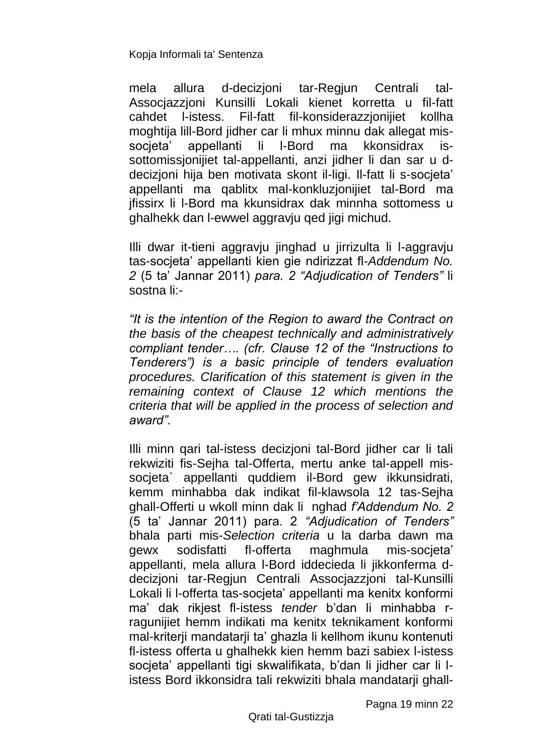mela allura d-decizjoni tar-Regjun Centrali tal-Assocjazzjoni Kunsilli Lokali kienet korretta u fil-fatt cahdet l-istess. Fil-fatt fil-konsiderazzjonijiet kollha moghtija lill-Bord jidher car li mhux minnu dak allegat missocieta' appellanti li I-Bord ma kkonsidrax issottomissjonijiet tal-appellanti, anzi jidher li dan sar u ddecizjoni hija ben motivata skont il-ligi. Il-fatt li s-socjeta' appellanti ma qablitx mal-konkluzjonijiet tal-Bord ma jfissirx li l-Bord ma kkunsidrax dak minnha sottomess u ghalhekk dan l-ewwel aggravju qed jigi michud.

Illi dwar it-tieni aggravju jinghad u jirrizulta li l-aggravju tas-socjeta' appellanti kien gie ndirizzat fl-*Addendum No. 2* (5 ta' Jannar 2011) *para. 2 "Adjudication of Tenders"* li sostna li:-

*"It is the intention of the Region to award the Contract on the basis of the cheapest technically and administratively compliant tender…. (cfr. Clause 12 of the "Instructions to Tenderers") is a basic principle of tenders evaluation procedures. Clarification of this statement is given in the remaining context of Clause 12 which mentions the criteria that will be applied in the process of selection and award".*

Illi minn qari tal-istess decizjoni tal-Bord jidher car li tali rekwiziti fis-Sejha tal-Offerta, mertu anke tal-appell missocjeta` appellanti quddiem il-Bord gew ikkunsidrati, kemm minhabba dak indikat fil-klawsola 12 tas-Sejha ghall-Offerti u wkoll minn dak li nghad *f'Addendum No. 2* (5 ta' Jannar 2011) para. 2 *"Adjudication of Tenders"* bhala parti mis-*Selection criteria* u la darba dawn ma gewx sodisfatti fl-offerta maghmula mis-socjeta' appellanti, mela allura l-Bord iddecieda li jikkonferma ddecizjoni tar-Regjun Centrali Assocjazzjoni tal-Kunsilli Lokali li l-offerta tas-socjeta' appellanti ma kenitx konformi ma' dak rikjest fl-istess *tender* b'dan li minhabba rragunijiet hemm indikati ma kenitx teknikament konformi mal-kriterji mandatarji ta' ghazla li kellhom ikunu kontenuti fl-istess offerta u ghalhekk kien hemm bazi sabiex l-istess socjeta' appellanti tigi skwalifikata, b'dan li jidher car li listess Bord ikkonsidra tali rekwiziti bhala mandatarji ghall-

Pagna 19 minn 22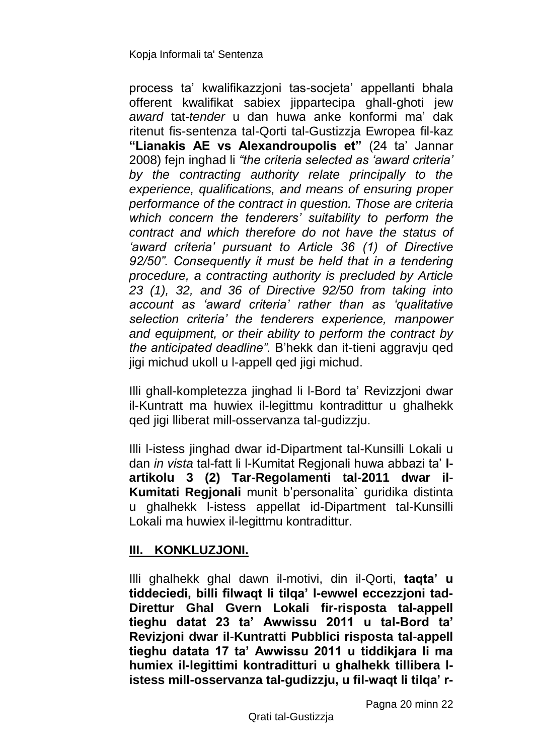process ta' kwalifikazzjoni tas-socjeta' appellanti bhala offerent kwalifikat sabiex jippartecipa ghall-ghoti jew *award* tat-*tender* u dan huwa anke konformi ma' dak ritenut fis-sentenza tal-Qorti tal-Gustizzja Ewropea fil-kaz **"Lianakis AE vs Alexandroupolis et"** (24 ta' Jannar 2008) fejn inghad li *"the criteria selected as 'award criteria' by the contracting authority relate principally to the experience, qualifications, and means of ensuring proper performance of the contract in question. Those are criteria which concern the tenderers' suitability to perform the contract and which therefore do not have the status of 'award criteria' pursuant to Article 36 (1) of Directive 92/50". Consequently it must be held that in a tendering procedure, a contracting authority is precluded by Article 23 (1), 32, and 36 of Directive 92/50 from taking into account as 'award criteria' rather than as 'qualitative selection criteria' the tenderers experience, manpower and equipment, or their ability to perform the contract by the anticipated deadline".* B'hekk dan it-tieni aggravju qed jigi michud ukoll u l-appell qed jigi michud.

Illi ghall-kompletezza jinghad li l-Bord ta' Revizzjoni dwar il-Kuntratt ma huwiex il-legittmu kontradittur u ghalhekk qed jigi lliberat mill-osservanza tal-gudizzju.

Illi l-istess jinghad dwar id-Dipartment tal-Kunsilli Lokali u dan *in vista* tal-fatt li l-Kumitat Regjonali huwa abbazi ta' **l**artikolu 3 (2) Tar-Regolamenti tal-2011 dwar il-**Kumitati Regjonali** munit b'personalita` guridika distinta u ghalhekk l-istess appellat id-Dipartment tal-Kunsilli Lokali ma huwiex il-legittmu kontradittur.

## **III. KONKLUZJONI.**

Illi ghalhekk ghal dawn il-motivi, din il-Qorti, **taqta' u tiddeciedi, billi filwaqt li tilqa' l-ewwel eccezzjoni tad-Direttur Ghal Gvern Lokali fir-risposta tal-appell tieghu datat 23 ta' Awwissu 2011 u tal-Bord ta' Revizjoni dwar il-Kuntratti Pubblici risposta tal-appell tieghu datata 17 ta' Awwissu 2011 u tiddikjara li ma humiex il-legittimi kontraditturi u ghalhekk tillibera listess mill-osservanza tal-gudizzju, u fil-waqt li tilqa' r-**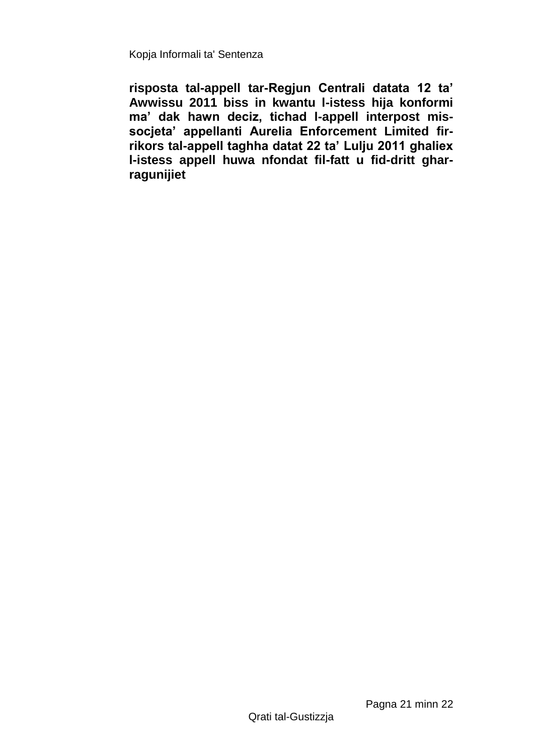**risposta tal-appell tar-Regjun Centrali datata 12 ta' Awwissu 2011 biss in kwantu l-istess hija konformi ma' dak hawn deciz, tichad l-appell interpost missocjeta' appellanti Aurelia Enforcement Limited firrikors tal-appell taghha datat 22 ta' Lulju 2011 ghaliex l-istess appell huwa nfondat fil-fatt u fid-dritt gharragunijiet**